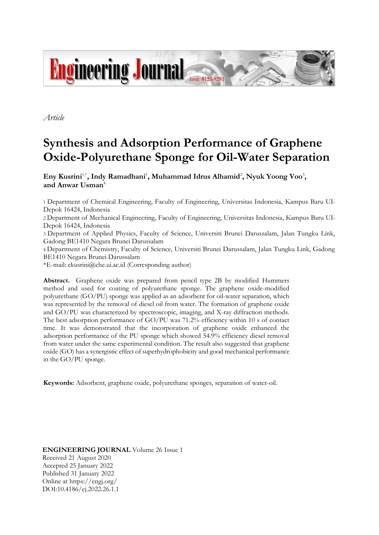

*Article*

# **Synthesis and Adsorption Performance of Graphene Oxide-Polyurethane Sponge for Oil-Water Separation**

Eny Kusrini<sup>1,\*</sup>, Indy Ramadhani<sup>1</sup>, Muhammad Idrus Alhamid<sup>2</sup>, Nyuk Yoong Voo<sup>3</sup>, **and Anwar Usman**<sup>4</sup>

1 Department of Chemical Engineering, Faculty of Engineering, Universitas Indonesia, Kampus Baru UI-Depok 16424, Indonesia

2 Department of Mechanical Engineering, Faculty of Engineering, Universitas Indonesia, Kampus Baru UI-Depok 16424, Indonesia

3 Department of Applied Physics, Faculty of Science, Universiti Brunei Darussalam, Jalan Tungku Link, Gadong BE1410 Negara Brunei Darussalam

4 Department of Chemistry, Faculty of Science, Universiti Brunei Darussalam, Jalan Tungku Link, Gadong BE1410 Negara Brunei Darussalam

\*E-mail: ekusrini@che.ui.ac.id (Corresponding author)

**Abstract.** Graphene oxide was prepared from pencil type 2B by modified Hummers method and used for coating of polyurethane sponge. The graphene oxide-modified polyurethane (GO/PU) sponge was applied as an adsorbent for oil-water separation, which was represented by the removal of diesel oil from water. The formation of graphene oxide and GO/PU was characterized by spectroscopic, imaging, and X-ray diffraction methods. The best adsorption performance of GO/PU was 71.2% efficiency within 10 s of contact time. It was demonstrated that the incorporation of graphene oxide enhanced the adsorption performance of the PU sponge which showed 54.9% efficiency diesel removal from water under the same experimental condition. The result also suggested that graphene oxide (GO) has a synergistic effect of superhydrophobicity and good mechanical performance in the GO/PU sponge.

**Keywords:** Adsorbent, graphene oxide, polyurethane sponges, separation of water-oil.

**ENGINEERING JOURNAL** Volume 26 Issue 1 Received 21 August 2020 Accepted 25 January 2022 Published 31 January 2022 Online at https://engj.org/ DOI:10.4186/ej.2022.26.1.1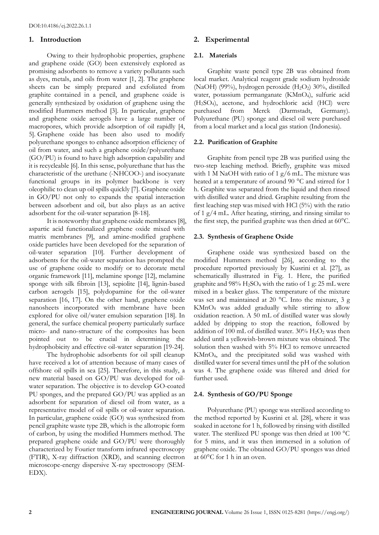## **1. Introduction**

Owing to their hydrophobic properties, graphene and graphene oxide (GO) been extensively explored as promising adsorbents to remove a variety pollutants such as dyes, metals, and oils from water [1, 2]. The graphene sheets can be simply prepared and exfoliated from graphite contained in a pencil, and graphene oxide is generally synthesized by oxidation of graphene using the modified Hummers method [3]. In particular, graphene and graphene oxide aerogels have a large number of macropores, which provide adsorption of oil rapidly [4, 5]. Graphene oxide has been also used to modify polyurethane sponges to enhance adsorption efficiency of oil from water, and such a graphene oxide/polyurethane (GO/PU) is found to have high adsorption capability and it is recycleable [6]. In this sense, polyurethane that has the characteristic of the urethane (-NHCOO-) and isocyanate functional groups in its polymer backbone is very oleophilic to clean up oil spills quickly [7]. Graphene oxide in GO/PU not only to expands the spatial interaction between adsorbent and oil, but also plays as an active adsorbent for the oil-water separation [8-18].

It is noteworthy that graphene oxide membranes [8], aspartic acid functionalized graphene oxide mixed with matrix membranes [9], and amine-modified graphene oxide particles have been developed for the separation of oil-water separation [10]. Further development of adsorbents for the oil-water separation has prompted the use of graphene oxide to modify or to decorate metal organic framework [11], melamine sponge [12], melamine sponge with silk fibroin [13], sepiolite [14], lignin-based carbon aerogels [15], polydopamine for the oil-water separation [16, 17]. On the other hand, graphene oxide nanosheets incorporated with membrane have been explored for olive oil/water emulsion separation [18]. In general, the surface chemical property particularly surface micro- and nano-structure of the composites has been pointed out to be crucial in determining the hydrophobicity and effective oil-water separation [19-24].

The hydrophobic adsorbents for oil spill cleanup have received a lot of attention because of many cases of offshore oil spills in sea [25]. Therefore, in this study, a new material based on GO/PU was developed for oilwater separation. The objective is to develop GO-coated PU sponges, and the prepared GO/PU was applied as an adsorbent for separation of diesel oil from water, as a representative model of oil spills or oil-water separation. In particular, graphene oxide (GO) was synthesized from pencil graphite waste type 2B, which is the allotropic form of carbon, by using the modified Hummers method. The prepared graphene oxide and GO/PU were thoroughly characterized by Fourier transform infrared spectroscopy (FTIR), X-ray diffraction (XRD), and scanning electron microscope-energy dispersive X-ray spectroscopy (SEM-EDX).

# **2. Experimental**

#### **2.1. Materials**

Graphite waste pencil type 2B was obtained from local market. Analytical reagent grade sodium hydroxide (NaOH) (99%), hydrogen peroxide  $(H_2O_2)$  30%, distilled water, potassium permanganate (KMnO4), sulfuric acid (H2SO4), acetone, and hydrochloric acid (HCl) were purchased from Merck (Darmstadt, Germany). Polyurethane (PU) sponge and diesel oil were purchased from a local market and a local gas station (Indonesia).

#### **2.2. Purification of Graphite**

Graphite from pencil type 2B was purified using the two-step leaching method. Briefly, graphite was mixed with 1 M NaOH with ratio of 1 g/6 mL. The mixture was heated at a temperature of around 90 °C and stirred for 1 h. Graphite was separated from the liquid and then rinsed with distilled water and dried. Graphite resulting from the first leaching step was mixed with HCl (5%) with the ratio of 1 g/4 mL. After heating, stirring, and rinsing similar to the first step, the purified graphite was then dried at 60°C.

#### **2.3. Synthesis of Graphene Oxide**

Graphene oxide was synthesized based on the modified Hummers method [26], according to the procedure reported previously by Kusrini et al. [27], as schematically illustrated in Fig. 1. Here, the purified graphite and 98% H2SO<sup>4</sup> with the ratio of 1 g: 25 mL were mixed in a beaker glass. The temperature of the mixture was set and maintained at 20 °C. Into the mixture, 3 g KMnO<sup>4</sup> was added gradually while stirring to allow oxidation reaction. A 50 mL of distilled water was slowly added by dripping to stop the reaction, followed by addition of 100 mL of distilled water.  $30\%$  H<sub>2</sub>O<sub>2</sub> was then added until a yellowish-brown mixture was obtained. The solution then washed with 5% HCl to remove unreacted KMnO4, and the precipitated solid was washed with distilled water for several times until the pH of the solution was 4. The graphene oxide was filtered and dried for further used.

## **2.4. Synthesis of GO/PU Sponge**

Polyurethane (PU) sponge was sterilized according to the method reported by Kusrini et al. [28], where it was soaked in acetone for 1 h, followed by rinsing with distilled water. The sterilized PU sponge was then dried at 100 °C for 5 mins, and it was then immersed in a solution of graphene oxide. The obtained GO/PU sponges was dried at 60°C for 1 h in an oven.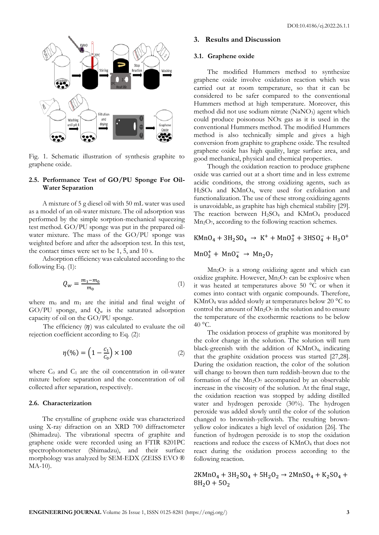



Fig. 1. Schematic illustration of synthesis graphite to graphene oxide.

## **2.5. Performance Test of GO/PU Sponge For Oil-Water Separation**

A mixture of 5 g diesel oil with 50 mL water was used as a model of an oil-water mixture. The oil adsorption was performed by the simple sorption-mechanical squeezing test method. GO/PU sponge was put in the prepared oilwater mixture. The mass of the GO/PU sponge was weighted before and after the adsorption test. In this test, the contact times were set to be 1, 5, and 10 s.

Adsorption efficiency was calculated according to the following Eq. (1):

$$
Q_w = \frac{m_1 - m_0}{m_0} \tag{1}
$$

where  $m_0$  and  $m_1$  are the initial and final weight of GO/PU sponge, and  $Q_w$  is the saturated adsorption capacity of oil on the GO/PU sponge.

The efficiency  $(\eta)$  was calculated to evaluate the oil rejection coefficient according to Eq. (2):

$$
\eta(\%) = \left(1 - \frac{c_1}{c_0}\right) \times 100\tag{2}
$$

where  $C_0$  and  $C_1$  are the oil concentration in oil-water mixture before separation and the concentration of oil collected after separation, respectively.

## **2.6. Characterization**

The crystalline of graphene oxide was characterized using X-ray difraction on an XRD 700 diffractometer (Shimadzu). The vibrational spectra of graphite and graphene oxide were recorded using an FTIR 8201PC spectrophotometer (Shimadzu), and their surface morphology was analyzed by SEM-EDX (ZEISS EVO ® MA-10).

## **3. Results and Discussion**

#### **3.1. Graphene oxide**

The modified Hummers method to synthesize graphene oxide involve oxidation reaction which was carried out at room temperature, so that it can be considered to be safer compared to the conventional Hummers method at high temperature. Moreover, this method did not use sodium nitrate (NaNO<sub>3</sub>) agent which could produce poisonous NOx gas as it is used in the conventional Hummers method. The modified Hummers method is also technically simple and gives a high conversion from graphite to graphene oxide. The resulted graphene oxide has high quality, large surface area, and good mechanical, physical and chemical properties.

Though the oxidation reaction to produce graphene oxide was carried out at a short time and in less extreme acidic conditions, the strong oxidizing agents, such as H2SO<sup>4</sup> and KMnO4, were used for exfoliation and functionalization. The use of these strong oxidizing agents is unavoidable, as graphite has high chemical stability [29]. The reaction between  $H_2SO_4$  and  $KMnO_4$  produced Mn2O7, according to the following reaction schemes.

$$
K MnO_4 + 3H_2SO_4 \rightarrow K^+ + MnO_3^+ + 3HSO_4^- + H_3O^+
$$

$$
MnO_3^+ + MnO_4^- \rightarrow Mn_2O_7
$$

Mn2O<sup>7</sup> is a strong oxidizing agent and which can oxidize graphite. However,  $Mn<sub>2</sub>O<sub>7</sub>$  can be explosive when it was heated at temperatures above 50 °C or when it comes into contact with organic compounds. Therefore, KMnO<sup>4</sup> was added slowly at temperatures below 20 °C to control the amount of  $Mn_2O_7$  in the solution and to ensure the temperature of the exothermic reactions to be below  $40 °C$ .

The oxidation process of graphite was monitored by the color change in the solution. The solution will turn black-greenish with the addition of KMnO4, indicating that the graphite oxidation process was started [27,28]. During the oxidation reaction, the color of the solution will change to brown then turn reddish-brown due to the formation of the  $Mn<sub>2</sub>O<sub>7</sub>$  accompanied by an observable increase in the viscosity of the solution. At the final stage, the oxidation reaction was stopped by adding distilled water and hydrogen peroxide (30%). The hydrogen peroxide was added slowly until the color of the solution changed to brownish-yellowish. The resulting brownyellow color indicates a high level of oxidation [26]. The function of hydrogen peroxide is to stop the oxidation reactions and reduce the excess of KMnO<sub>4</sub> that does not react during the oxidation process according to the following reaction.

 $2KMnO_4 + 3H_2SO_4 + 5H_2O_2 \rightarrow 2MnSO_4 + K_2SO_4 +$  $8H_2O + 5O_2$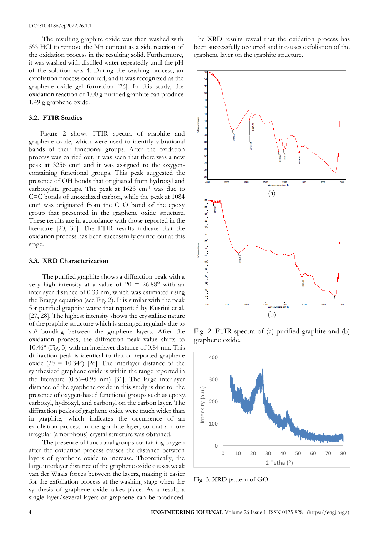The resulting graphite oxide was then washed with 5% HCl to remove the Mn content as a side reaction of the oxidation process in the resulting solid. Furthermore, it was washed with distilled water repeatedly until the pH of the solution was 4. During the washing process, an exfoliation process occurred, and it was recognized as the graphene oxide gel formation [26]. In this study, the oxidation reaction of 1.00 g purified graphite can produce 1.49 g graphene oxide.

#### **3.2. FTIR Studies**

Figure 2 shows FTIR spectra of graphite and graphene oxide, which were used to identify vibrational bands of their functional groups. After the oxidation process was carried out, it was seen that there was a new peak at 3256 cm-1 and it was assigned to the oxygencontaining functional groups. This peak suggested the presence of OH bonds that originated from hydroxyl and carboxylate groups. The peak at 1623 cm-1 was due to C=C bonds of unoxidized carbon, while the peak at 1084  $cm<sup>-1</sup>$  was originated from the C–O bond of the epoxy group that presented in the graphene oxide structure. These results are in accordance with those reported in the literature [20, 30]. The FTIR results indicate that the oxidation process has been successfully carried out at this stage.

#### **3.3. XRD Characterization**

The purified graphite shows a diffraction peak with a very high intensity at a value of  $2\theta = 26.88^{\circ}$  with an interlayer distance of 0.33 nm, which was estimated using the Braggs equation (see Fig. 2). It is similar with the peak for purified graphite waste that reported by Kusrini et al. [27, 28]. The highest intensity shows the crystalline nature of the graphite structure which is arranged regularly due to sp<sup>3</sup> bonding between the graphene layers. After the oxidation process, the diffraction peak value shifts to 10.46° (Fig. 3) with an interlayer distance of 0.84 nm. This diffraction peak is identical to that of reported graphene oxide (2 $\theta$  = 10.34°) [26]. The interlayer distance of the synthesized graphene oxide is within the range reported in the literature  $(0.56-0.95$  nm) [31]. The large interlayer distance of the graphene oxide in this study is due to the presence of oxygen-based functional groups such as epoxy, carboxyl, hydroxyl, and carbonyl on the carbon layer. The diffraction peaks of graphene oxide were much wider than in graphite, which indicates the occurrence of an exfoliation process in the graphite layer, so that a more irregular (amorphous) crystal structure was obtained.

The presence of functional groups containing oxygen after the oxidation process causes the distance between layers of graphene oxide to increase. Theoretically, the large interlayer distance of the graphene oxide causes weak van der Waals forces between the layers, making it easier for the exfoliation process at the washing stage when the synthesis of graphene oxide takes place. As a result, a single layer/several layers of graphene can be produced. The XRD results reveal that the oxidation process has been successfully occurred and it causes exfoliation of the graphene layer on the graphite structure.



Fig. 2. FTIR spectra of (a) purified graphite and (b) graphene oxide.



Fig. 3. XRD pattern of GO.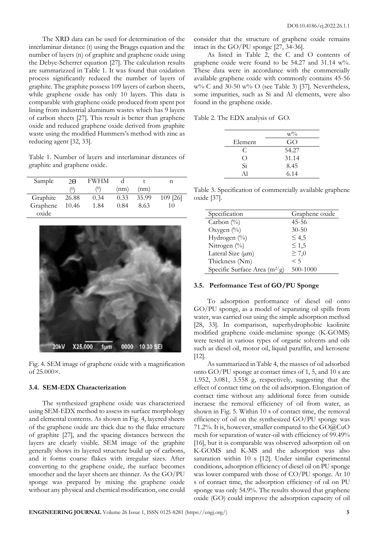The XRD data can be used for determination of the interlaminar distance (t) using the Braggs equation and the number of layers (n) of graphite and graphene oxide using the Debye-Scherrer equation [27]. The calculation results are summarizzed in Table 1. It was found that oxidation process significantly reduced the number of layers of graphite. The graphite possess 109 layers of carbon sheets, while graphene oxide has only 10 layers. This data is comparable with graphene oxide produced from spent pot lining from industrial aluminum wastes which has 9 layers of carbon sheets [27]. This result is better than graphene oxide and reduced graphene oxide derived from graphite waste using the modified Hummers's method with zinc as reducing agent [32, 33].

Table 1. Number of layers and interlaminar distances of graphite and graphene oxide.

| Sample   | $2\Theta$ | <b>FWHM</b> |      |       |          |
|----------|-----------|-------------|------|-------|----------|
|          | (0)       | (0)         | (nm) | (nm)  |          |
| Graphite | 26.88     | 0.34        | 0.33 | 35.99 | 109 [26] |
| Graphene | 10.46     | 1.84        | 0.84 | 8.63  | 10       |
| oxide    |           |             |      |       |          |



Fig. 4. SEM image of graphene oxide with a magnification of 25.000×.

## **3.4. SEM-EDX Characterization**

The synthesized graphene oxide was characterized using SEM-EDX method to assess its surface morphology and elemental contents. As shown in Fig. 4, layered sheets of the graphene oxide are thick due to the flake structure of graphite [27], and the spacing distances between the layers are clearly visible. SEM image of the graphite generally shows its layered structure build up of carbons, and it forms coarse flakes with irregular sizes. After converting to the graphene oxide, the surface becomes smoother and the layer sheets are thinner. As the GO/PU sponge was prepared by mixing the graphene oxide without any physical and chemical modification, one could

consider that the structure of graphene oxide remains intact in the GO/PU sponge [27, 34-36].

As listed in Table 2, the C and O contents of graphene oxide were found to be 54.27 and 31.14 w%. These data were in accordance with the commercially available graphene oxide with commonly contains 45-56  $w\%$  C and 30-50  $w\%$  O (see Table 3) [37]. Nevertheless, some impurities, such as Si and Al elements, were also found in the graphene oxide.

Table 2. The EDX analysis of GO.

|                    | $W\%$ |
|--------------------|-------|
| Element            | GO    |
| C                  | 54.27 |
| $\left( \ \right)$ | 31.14 |
| Si                 | 8.45  |
| Αl                 | 6.14  |

Table 3. Specification of commercially available graphene oxide [37].

| Specification                   | Graphene oxide |
|---------------------------------|----------------|
| Carbon $(\%)$                   | 45-56          |
| Oxygen $(\%)$                   | $30 - 50$      |
| Hydrogen (%)                    | $\leq 4.5$     |
| Nitrogen $(\%)$                 | $\leq 1,5$     |
| Lateral Size (µm)               | $\geq 7,0$     |
| Thickness (Nm)                  | < 5            |
| Specific Surface Area $(m^2/g)$ | 500-1000       |

## **3.5. Performance Test of GO/PU Sponge**

To adsorption performance of diesel oil onto GO/PU sponge, as a model of separating oil spills from water, was carried out using the simple adsorption method [28, 33]. In comparison, superhydrophobic kaolinite modified graphene oxide-melamine sponge (K-GOMS) were tested in various types of organic solvents and oils such as diesel oil, motor oil, liquid paraffin, and kerosene [12].

As summarized in Table 4, the masses of oil adsorbed onto GO/PU sponge at contact times of 1, 5, and 10 s are 1.952, 3.081, 3.558 g, respectively, suggesting that the effect of contact time on the oil adsorption. Elongation of contact time without any additional force from outside incraese the removal efficiency of oil from water, as shown in Fig. 5. Within 10 s of contact time, the removal efficiency of oil on the synthesized GO/PU sponge was 71.2%. It is, however, smaller compared to the GO@CuO mesh for separation of water-oil with efficiency of 99.49% [16], but it is comparable was observed adsorption oil on K-GOMS and K-MS and the adsorption was also saturation within 10 s [12]. Under similar experimental conditions, adsorption efficiency of diesel oil on PU sponge was lower compared with those of CO/PU sponge. At 10 s of contact time, the adsorption efficiency of oil on PU sponge was only 54.9%. The results showed that graphene oxide (GO) could improve the adsorption capacity of oil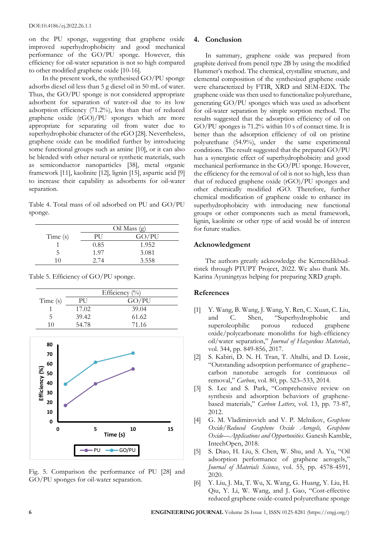on the PU sponge, suggesting that graphene oxide improved superhydrophobicity and good mechanical performance of the GO/PU sponge. However, this efficiency for oil-water separation is not so high compared to other modified graphene oxide [10-16].

In the present work, the synthesised GO/PU sponge adsorbs diesel oil less than 5 g diesel oil in 50 mL of water. Thus, the GO/PU sponge is not considered appropriate adsorbent for separation of water-oil due to its low adsorption efficiency (71.2%), less than that of reduced graphene oxide (rGO)/PU sponges which are more appropriate for separating oil from water due to superhydrophobic character of the rGO [28]. Nevertheless, graphene oxide can be modified further by introducing some functional groups such as amine [10], or it can also be blended with other netural or synthetic materials, such as semiconductor nanoparticles [38], metal organic framework [11], kaolinite [12], lignin [15], aspartic acid [9] to increase their capability as adsorbents for oil-water separation.

Table 4. Total mass of oil adsorbed on PU and GO/PU sponge.

|         | $Oil$ Mass $(g)$ |       |
|---------|------------------|-------|
| Time(s) | РH               | GO/PU |
|         | 0.85             | 1.952 |
| ↖       | 1.97             | 3.081 |
| 10      | 2.74             | 3.558 |

Table 5. Efficiency of GO/PU sponge.

|         | Efficiency $(\%)$ |       |
|---------|-------------------|-------|
| Time(s) | РU                | GO/PU |
|         | 17.02             | 39.04 |
| 5       | 39.42             | 61.62 |
| 10      | 54.78             | 71.16 |



Fig. 5. Comparison the performance of PU [28] and GO/PU sponges for oil-water separation.

# **4. Conclusion**

In summary, graphene oxide was prepared from graphite derived from pencil type 2B by using the modified Hummer's method. The chemical, crystalline structure, and elemental composition of the synthesized graphene oxide were characterized by FTIR, XRD and SEM-EDX. The graphene oxide was then used to functionalize polyurethane, generating GO/PU sponges which was used as adsorbent for oil-water separation by simple sorption method. The results suggested that the adsorption efficiency of oil on GO/PU sponges is 71.2% within 10 s of contact time. It is better than the adsorption efficiency of oil on pristine polyurethane (54.9%), under the same experimental conditions. The result suggested that the prepared GO/PU has a synergistic effect of superhydrophobicity and good mechanical performance in the GO/PU sponge. However, the efficiency for the removal of oil is not so high, less than that of reduced graphene oxide (rGO)/PU sponges and other chemically modified rGO. Therefore, further chemical modification of graphene oxide to enhance its superhydrophobicity with introducing new functional groups or other components such as metal framework, lignin, kaolinite or other type of acid would be of interest for future studies.

# **Acknowledgment**

The authors greatly acknowledge the Kemendikbudristek through PTUPT Project, 2022. We also thank Ms. Karina Ayuningtyas helping for preparing XRD graph.

# **References**

- [1] Y. Wang, B. Wang, J. Wang, Y. Ren, C. Xuan, C. Liu, and C. Shen, "Superhydrophobic and<br>superoleophilic porous reduced graphene superoleophilic porous reduced oxide/polycarbonate monoliths for high-efficiency oil/water separation," *Journal of Hazardous Materials*, vol. 344, pp. 849-856, 2017.
- [2] S. Kabiri, D. N. H. Tran, T. Altalhi, and D. Losic, "Outstanding adsorption performance of graphene– carbon nanotube aerogels for continuous oil removal," *Carbon*, vol. 80, pp. 523–533, 2014.
- [3] S. Lee and S. Park, "Comprehensive review on synthesis and adsorption behaviors of graphenebased materials," *Carbon Letters*, vol. 13, pp. 73-87, 2012.
- [4] G. M. Vladimirovich and V. P. Melnikov, *Graphene Oxide/Reduced Graphene Oxide Aerogels, Graphene Oxide—Applications and Opportunities*. Ganesh Kamble, IntechOpen, 2018.
- [5] S. Diao, H. Liu, S. Chen, W. Shu, and A. Yu, "Oil adsorption performance of graphene aerogels," *Journal of Materials Science*, vol. 55, pp. 4578-4591, 2020.
- [6] Y. Liu, J. Ma, T. Wu, X. Wang, G. Huang, Y. Liu, H. Qiu, Y. Li, W. Wang, and J. Gao, "Cost-effective reduced graphene oxide-coated polyurethane sponge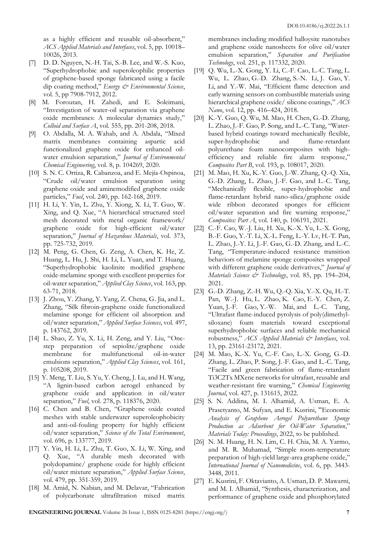as a highly efficient and reusable oil-absorbent," *ACS Applied Materials and Interfaces*, vol. 5, pp. 10018– 10026, 2013.

- [7] D. D. [Nguyen,](https://pubs.rsc.org/en/results?searchtext=Author%3ADuc%20Dung%20Nguyen) [N.-H. Tai,](https://pubs.rsc.org/en/results?searchtext=Author%3ANyan-Hwa%20Tai) [S.-B. Lee,](https://pubs.rsc.org/en/results?searchtext=Author%3ASan-Boh%20Lee) and [W.-S. Kuo,](https://pubs.rsc.org/en/results?searchtext=Author%3AWen-Shyong%20Kuo) "Superhydrophobic and superoleophilic properties of graphene-based sponge fabricated using a facile dip coating method," *Energy & Environmental Science*, vol. 5, pp 7908-7912, 2012.
- [8] M. Foroutan, H. Zahedi, and E. Soleimani, "Investigation of water-oil separation via graphene oxide membranes: A molecular dynamics study," *Colloid and Surface A*, vol. 555, pp. 201-208, 2018.
- [9] O. Abdalla, M. A. Wahab, and A. Abdala, "Mixed matrix membranes containing aspartic acid functionalized graphene oxide for enhanced oilwater emulsion separation," *Journal of Environmental Chemical Engineering*, vol. 8, p. 104269, 2020.
- [10] S. N. C. Ortiza, R. Cabanzoa, and E. Mejía-Ospinoa, "Crude oil/water emulsion separation using graphene oxide and aminemodified graphene oxide particles," *Fuel*, vol. 240, pp. 162-168, 2019.
- [11] H. Li, Y. Yin, L. Zhu, Y. Xiong, X. Li, T. Guo, W. Xing, and Q. Xue, "A hierarchical structured steel mesh decorated with metal organic framework/ graphene oxide for high-efficient oil/water separation," *Journal of Hazardous Materials*, vol. 373, pp. 725-732, 2019.
- [12] M. Peng, G. Chen, G. Zeng, A. Chen, K. He, Z. Huang, L. Hu, J. Shi, H. Li, L. Yuan, and T. Huang, "Superhydrophobic kaolinite modified graphene oxide-melamine sponge with excellent properties for oil-water separation," *Applied Clay Science*, vol. 163, pp. 63-71, 2018.
- [13] J. Zhou, Y. Zhang, Y. Yang, Z. Chena, G. Jia, and L. Zhang, "Silk fibroin-graphene oxide functionalized melamine sponge for efficient oil absorption and oil/water separation," *Applied Surface Sciences*, vol. 497, p. 143762, 2019.
- [14] L. Shao, Z. Yu, X. Li, H. Zeng, and Y. Liu, "Onestep preparation of sepiolite/graphene oxide membrane for multifunctional oil-in-water emulsions separation," *Applied Clay Sciences*, vol. 161, p. 105208, 2019.
- [15] Y. Meng, T. Liu, S. Yu, Y. Cheng, J. Lu, and H. Wang, "A lignin-based carbon aerogel enhanced by graphene oxide and application in oil/water separation," *Fuel*, vol. 278, p. 118376, 2020.
- [16] C. Chen and B. Chen, "Graphene oxide coated meshes with stable underwater superoleophobicity and anti-oil-fouling property for highly efficient oil/water separation," *Science of the Total Environment*, vol. 696, p. 133777, 2019.
- [17] Y. Yin, H. Li, L. Zhu, T. Guo, X. Li, W. Xing, and Q. Xue, "A durable mesh decorated with polydopamine/ graphene oxide for highly efficient oil/water mixture separation," *Applied Surface Science*, vol. 479, pp. 351-359, 2019.
- [18] M. Amid, N. Nabian, and M. Delavar, "Fabrication of polycarbonate ultrafiltration mixed matrix

membranes including modified halloysite nanotubes and graphene oxide nanosheets for olive oil/water emulsion separation," *Separation and Purification Technology*, vol. 251, p. 117332, 2020.

- [19] [Q. Wu,](https://pubs.acs.org/action/doSearch?field1=Contrib&text1=Qian++Wu) [L.-X. Gong,](https://pubs.acs.org/action/doSearch?field1=Contrib&text1=Li-Xiu++Gong) [Y. Li,](https://pubs.acs.org/action/doSearch?field1=Contrib&text1=Yang++Li) [C.-F. Cao,](https://pubs.acs.org/action/doSearch?field1=Contrib&text1=Cheng-Fei++Cao) [L.-C. Tang,](https://pubs.acs.org/action/doSearch?field1=Contrib&text1=Long-Cheng++Tang) [L.](https://pubs.acs.org/action/doSearch?field1=Contrib&text1=Lianbin++Wu)  [Wu,](https://pubs.acs.org/action/doSearch?field1=Contrib&text1=Lianbin++Wu) [L. Zhao,](https://pubs.acs.org/action/doSearch?field1=Contrib&text1=Li++Zhao) [G.-D. Zhang,](https://pubs.acs.org/action/doSearch?field1=Contrib&text1=Guo-Dong++Zhang) [S.-N. Li,](https://pubs.acs.org/action/doSearch?field1=Contrib&text1=Shi-Neng++Li) [J. Gao,](https://pubs.acs.org/action/doSearch?field1=Contrib&text1=Jiefeng++Gao) [Y.](https://pubs.acs.org/action/doSearch?field1=Contrib&text1=Yongjin++Li)  [Li,](https://pubs.acs.org/action/doSearch?field1=Contrib&text1=Yongjin++Li) [and Y.-W. Mai,](https://pubs.acs.org/action/doSearch?field1=Contrib&text1=Yiu-Wing++Mai) "Efficient flame detection and early warning sensors on combustible materials using hierarchical graphene oxide/ silicone coatings," *ACS Nano*, vol. 12, pp. 416–424, 2018.
- [20] K.-Y. Guo, Q. Wu, M. Mao, H. Chen, G.-D. Zhang, L. Zhao, J.-F. Gao, P. Song, and L.-C. Tang, "Waterbased hybrid coatings toward mechanically flexible, super-hydrophobic and flame-retardant polyurethane foam nanocomposites with highefficiency and reliable fire alarm response," *Composites Part B*, vol. 193, p. 108017, 2020.
- [21] M. Mao, H. Xu, K.-Y. Guo, J.-W. Zhang, Q.-Q. Xia, G.-D. Zhang, L. Zhao, J.-F. Gao, and L.-C. Tang, "Mechanically flexible, super-hydrophobic and flame-retardant hybrid nano-silica/graphene oxide wide ribbon decorated sponges for efficient oil/water separation and fire warning response," *Composites: Part A*, vol. 140, p. 106191, 2021.
- [22] C.-F. Cao, W.-J. Liu, H. Xu, K.-X. Yu, L.-X. Gong, B.-F. Guo, Y.-T. Li, X.-L. Feng, L.-Y. Lv, H.-T. Pan, L. Zhao, J.-Y. Li, J.-F. Gao, G.-D. Zhang, and L.-C. Tang, "Temperature-induced resistance transition behaviors of melamine sponge composites wrapped with different graphene oxide derivatives," *Journal of Materials Science & Technology*, vol. 85, pp. 194–204, 2021.
- [23] G.-D. Zhang, Z.-H. Wu, Q.-Q. Xia, Y.-X. Qu, H.-T. Pan, W.-J. Hu, L. Zhao, K. Cao, E.-Y. Chen, Z. Yuan, J.-F. Gao, Y.-W. Mai, and L.-C. Tang, "[Ultrafast flame-induced pyrolysis of poly\(dimethyl](https://pubs.acs.org/doi/10.1021/acsami.1c03272)[siloxane\) foam materials toward exceptional](https://pubs.acs.org/doi/10.1021/acsami.1c03272)  [superhydrophobic surfaces and reliable mechanical](https://pubs.acs.org/doi/10.1021/acsami.1c03272)  [robustness,](https://pubs.acs.org/doi/10.1021/acsami.1c03272)" *ACS Applied Materials & Interfaces*, vol. 13, pp. 23161-23172, 2021.
- [24] M. Mao, K.-X. Yu, C.-F. Cao, L.-X. Gong, G.-D. Zhang, L. Zhao, P. Song, J.-F. Gao, and L.-C. Tang, "Facile and green fabrication of flame-retardant Ti3C2Tx MXene networks for ultrafast, reusable and weather-resistant fire warning," *Chemical Engineering Journal*, vol. 427, p. 131615, 2022.
- [25] S. N. Addina, M. I. Alhamid, A. Usman, E. A. Prasetyanto, M. Sufyan, and E. Kusrini, "Economic *Analysis of Graphene Aerogel Polyurethane Sponge Production as Adsorbent for Oil-Water Separation*," *Materials Today: Proceedings*, 2022, to be published.
- [26] N. M. Huang, H. N. Lim, C. H. Chia, M. A. Yarmo, and M. R. Muhamad, "Simple room-temperature preparation of high-yield large-area graphene oxide," *International Journal of Nanomedicine*, vol. 6, pp. 3443- 3448, 2011.
- [27] E. Kusrini, F. Oktavianto, A. Usman, D. P. Mawarni, and M. I. Alhamid, "Synthesis, characterization, and performance of graphene oxide and phosphorylated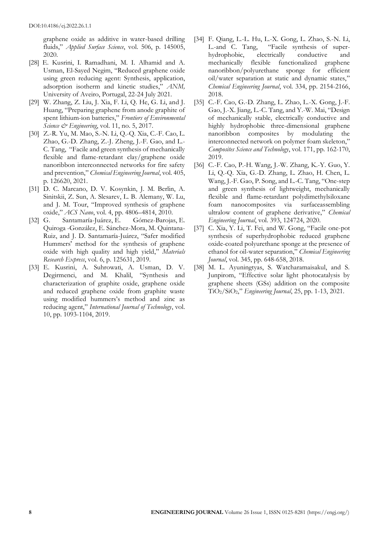graphene oxide as additive in water-based drilling fluids," *Applied Surface Science*, vol. 506, p. 145005, 2020.

- [28] E. Kusrini, I. Ramadhani, M. I. Alhamid and A. Usman, El-Sayed Negim, "Reduced graphene oxide using green reducing agent: Synthesis, application, adsorption isotherm and kinetic studies," *ANM,* University of Aveiro, Portugal, 22-24 July 2021.
- [29] W. Zhang, Z. Liu, J. Xia, F. Li, Q. He, G. Li, and J. Huang, "Preparing graphene from anode graphite of spent lithium-ion batteries," *Frontiers of Environmental Science & Engineering*, vol. 11, no. 5, 2017.
- [30] [Z.-R. Yu, M. Mao, S.-N. Li, Q.-Q. Xia, C.-F. Cao, L.](https://www.sciencedirect.com/science/article/pii/S1385894720327480#!)  [Zhao, G.-D. Zhang, Z.-J. Zheng, J.-F. Gao, a](https://www.sciencedirect.com/science/article/pii/S1385894720327480#!)nd [L.-](https://www.sciencedirect.com/science/article/pii/S1385894720327480#!) [C. Tang,](https://www.sciencedirect.com/science/article/pii/S1385894720327480#!) "Facile and green synthesis of mechanically flexible and flame-retardant clay/graphene oxide nanoribbon interconnected networks for fire safety and prevention," *[Chemical Engineering Journal](https://www.sciencedirect.com/science/journal/13858947)*, vol. 405, p. 126620, 2021.
- [31] D. C. Marcano, D. V. Kosynkin, J. M. Berlin, A. Sinitskii, Z. Sun, A. Slesarev, L. B. Alemany, W. Lu, and J. M. Tour, "Improved synthesis of graphene oxide," *ACS Nano*, vol. 4, pp. 4806–4814, 2010.
- [32] G. Santamaría-Juárez, E. Gómez-Barojas, E. Quiroga -González, E. Sánchez-Mora, M. Quintana-Ruiz, and J. D. Santamaría-Juárez, "Safer modified Hummers' method for the synthesis of graphene oxide with high quality and high yield," *[Materials](https://iopscience.iop.org/journal/2053-1591) [Research](https://iopscience.iop.org/journal/2053-1591) Express*, vol. 6, p. 125631, 2019.
- [33] E. Kusrini, A. Suhrowati, A. Usman, D. V. Degirmenci, and M. Khalil, "Synthesis and characterization of graphite oxide, graphene oxide and reduced graphene oxide from graphite waste using modified hummers's method and zinc as reducing agent," *International Journal of Technology*, vol. 10, pp. 1093-1104, 2019.
- [34] [F. Qiang, L.-L. Hu, L.-X. Gong, L. Zhao, S.-N. Li,](https://www.sciencedirect.com/science/article/pii/S1385894717319666#!)  [L.-and C. Tang,](https://www.sciencedirect.com/science/article/pii/S1385894717319666#!) "Facile synthesis of superhydrophobic, electrically conductive and mechanically flexible functionalized graphene nanoribbon/polyurethane sponge for efficient oil/water separation at static and dynamic states," *[Chemical Engineering Journal](https://www.sciencedirect.com/science/journal/13858947)*, vol. 334, pp. 2154-2166, 2018.
- [35] C.-F. Cao, G.-D. Zhang, L. Zhao, L.-X. Gong, J.-F. Gao, J.-X. Jiang, L.-C. Tang, and Y.-W. Mai, "Design of mechanically stable, electrically conductive and highly hydrophobic three-dimensional graphene nanoribbon composites by modulating the interconnected network on polymer foam skeleton," *Composites Science and Technology*, vol. 171, pp. 162-170, 2019.
- [36] C.-F. Cao, P.-H. Wang, J.-W. Zhang, K.-Y. Guo, Y. Li, Q.-Q. Xia, G.-D. Zhang, L. Zhao, H. Chen, L. Wang, J.-F. Gao, P. Song, and L.-C. Tang, "One-step and green synthesis of lightweight, mechanically flexible and flame-retardant polydimethylsiloxane foam nanocomposites via surfaceassembling ultralow content of graphene derivative," *Chemical Engineering Journal*, vol. 393, 124724, 2020.
- [37] C. Xia, Y. Li, T. Fei, and W. Gong, "Facile one-pot synthesis of superhydrophobic reduced graphene oxide-coated polyurethane sponge at the presence of ethanol for oil-water separation," *Chemical Engineering Journal*, vol. 345, pp. 648-658, 2018.
- [38] M. L. Ayuningtyas, S. Watcharamaisakul, and S. Junpirom, "Effective solar light photocatalysis by graphene sheets (GSs) addition on the composite TiO2/SiO2," *Engineering Journal*, 25, pp. 1-13, 2021.